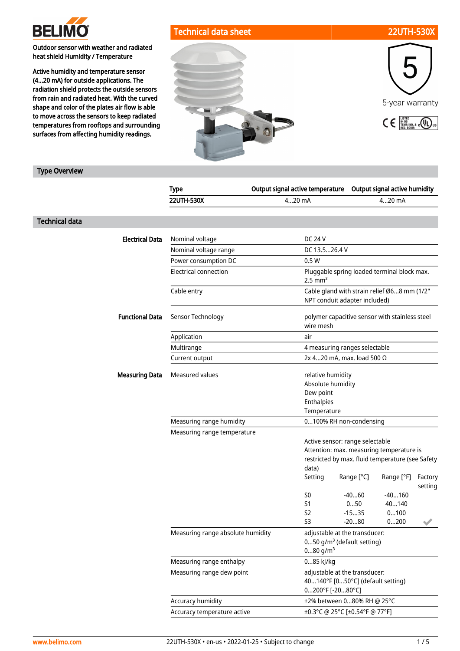

Outdoor sensor with weather and radiated heat shield Humidity / Temperature

Active humidity and temperature sensor (4...20 mA) for outside applications. The radiation shield protects the outside sensors from rain and radiated heat. With the curved shape and color of the plates air flow is able to move across the sensors to keep radiated temperatures from rooftops and surrounding surfaces from affecting humidity readings.

# Technical data sheet 22UTH-530X



## Type Overview

|                       |                        | <b>Type</b>                       | Output signal active temperature                                                                                                         | Output signal active humidity |                           |                    |
|-----------------------|------------------------|-----------------------------------|------------------------------------------------------------------------------------------------------------------------------------------|-------------------------------|---------------------------|--------------------|
|                       |                        | <b>22UTH-530X</b>                 | 420 mA                                                                                                                                   |                               | 420 mA                    |                    |
| <b>Technical data</b> |                        |                                   |                                                                                                                                          |                               |                           |                    |
|                       | <b>Electrical Data</b> | Nominal voltage                   | <b>DC 24 V</b>                                                                                                                           |                               |                           |                    |
|                       |                        | Nominal voltage range             | DC 13.526.4 V                                                                                                                            |                               |                           |                    |
|                       |                        | Power consumption DC              | 0.5W                                                                                                                                     |                               |                           |                    |
|                       |                        | <b>Electrical connection</b>      | Pluggable spring loaded terminal block max.<br>$2.5$ mm <sup>2</sup>                                                                     |                               |                           |                    |
|                       |                        | Cable entry                       | Cable gland with strain relief Ø68 mm (1/2"<br>NPT conduit adapter included)                                                             |                               |                           |                    |
|                       | <b>Functional Data</b> | Sensor Technology                 | polymer capacitive sensor with stainless steel<br>wire mesh                                                                              |                               |                           |                    |
|                       |                        | Application                       | air                                                                                                                                      |                               |                           |                    |
|                       |                        | Multirange                        | 4 measuring ranges selectable                                                                                                            |                               |                           |                    |
|                       |                        | Current output                    | 2x 420 mA, max. load 500 Ω                                                                                                               |                               |                           |                    |
|                       | <b>Measuring Data</b>  | Measured values                   | relative humidity<br>Absolute humidity<br>Dew point<br>Enthalpies<br>Temperature                                                         |                               |                           |                    |
|                       |                        | Measuring range humidity          | 0100% RH non-condensing                                                                                                                  |                               |                           |                    |
|                       |                        | Measuring range temperature       |                                                                                                                                          |                               |                           |                    |
|                       |                        |                                   | Active sensor: range selectable<br>Attention: max. measuring temperature is<br>restricted by max. fluid temperature (see Safety<br>data) |                               |                           |                    |
|                       |                        |                                   | Setting                                                                                                                                  | Range [°C]                    | Range [°F]                | Factory<br>setting |
|                       |                        |                                   | S <sub>0</sub><br>S1<br>S <sub>2</sub><br>S <sub>3</sub>                                                                                 | $-4060$<br>050<br>$-1535$     | $-40160$<br>40140<br>0100 |                    |
|                       |                        | Measuring range absolute humidity | adjustable at the transducer:<br>$050$ g/m <sup>3</sup> (default setting)<br>$080$ g/m <sup>3</sup>                                      | $-2080$                       | 0200                      |                    |
|                       |                        | Measuring range enthalpy          | 085 kJ/kg                                                                                                                                |                               |                           |                    |
|                       |                        | Measuring range dew point         | adjustable at the transducer:<br>40140°F [050°C] (default setting)<br>0200°F [-2080°C]                                                   |                               |                           |                    |
|                       |                        | Accuracy humidity                 | ±2% between 080% RH @ 25°C                                                                                                               |                               |                           |                    |
|                       |                        | Accuracy temperature active       | ±0.3°C @ 25°C [±0.54°F @ 77°F]                                                                                                           |                               |                           |                    |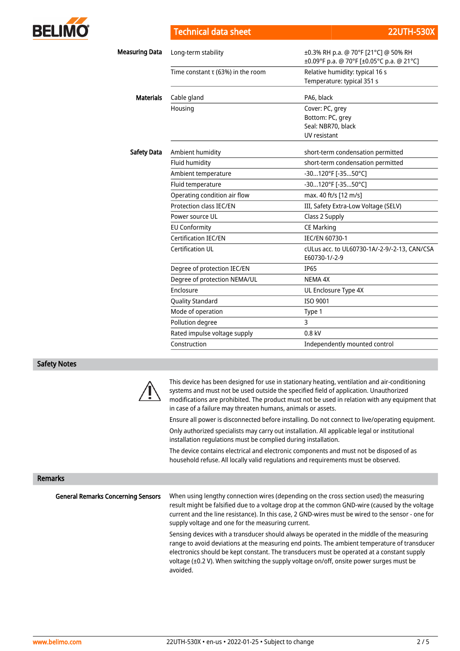

Technical data sheet 22UTH-530X

| Measuring Data     | Long-term stability                    | ±0.3% RH p.a. @ 70°F [21°C] @ 50% RH                          |  |  |
|--------------------|----------------------------------------|---------------------------------------------------------------|--|--|
|                    |                                        | ±0.09°F p.a. @ 70°F [±0.05°C p.a. @ 21°C]                     |  |  |
|                    | Time constant $\tau$ (63%) in the room | Relative humidity: typical 16 s                               |  |  |
|                    |                                        | Temperature: typical 351 s                                    |  |  |
| <b>Materials</b>   | Cable gland                            | PA6, black                                                    |  |  |
|                    | Housing                                | Cover: PC, grey                                               |  |  |
|                    |                                        | Bottom: PC, grey                                              |  |  |
|                    |                                        | Seal: NBR70, black                                            |  |  |
|                    |                                        | UV resistant                                                  |  |  |
| <b>Safety Data</b> | Ambient humidity                       | short-term condensation permitted                             |  |  |
|                    | Fluid humidity                         | short-term condensation permitted                             |  |  |
|                    | Ambient temperature                    | -30120°F [-3550°C]                                            |  |  |
|                    | Fluid temperature                      | -30120°F [-3550°C]                                            |  |  |
|                    | Operating condition air flow           | max. 40 ft/s [12 m/s]                                         |  |  |
|                    | <b>Protection class IEC/EN</b>         | III, Safety Extra-Low Voltage (SELV)                          |  |  |
|                    | Power source UL                        | Class 2 Supply                                                |  |  |
|                    | <b>EU Conformity</b>                   | <b>CE Marking</b>                                             |  |  |
|                    | <b>Certification IEC/EN</b>            | <b>IEC/EN 60730-1</b>                                         |  |  |
|                    | Certification UL                       | cULus acc. to UL60730-1A/-2-9/-2-13, CAN/CSA<br>E60730-1/-2-9 |  |  |
|                    | Degree of protection IEC/EN            | <b>IP65</b>                                                   |  |  |
|                    | Degree of protection NEMA/UL           | <b>NEMA 4X</b>                                                |  |  |
|                    | Enclosure                              | UL Enclosure Type 4X                                          |  |  |
|                    | <b>Quality Standard</b>                | ISO 9001                                                      |  |  |
|                    | Mode of operation                      | Type 1                                                        |  |  |
|                    | Pollution degree                       | 3                                                             |  |  |
|                    | Rated impulse voltage supply           | $0.8$ kV                                                      |  |  |
|                    | Construction                           | Independently mounted control                                 |  |  |

### Safety Notes



This device has been designed for use in stationary heating, ventilation and air-conditioning systems and must not be used outside the specified field of application. Unauthorized modifications are prohibited. The product must not be used in relation with any equipment that in case of a failure may threaten humans, animals or assets.

Ensure all power is disconnected before installing. Do not connect to live/operating equipment. Only authorized specialists may carry out installation. All applicable legal or institutional installation regulations must be complied during installation.

The device contains electrical and electronic components and must not be disposed of as household refuse. All locally valid regulations and requirements must be observed.

### Remarks

General Remarks Concerning Sensors

When using lengthy connection wires (depending on the cross section used) the measuring result might be falsified due to a voltage drop at the common GND-wire (caused by the voltage current and the line resistance). In this case, 2 GND-wires must be wired to the sensor - one for supply voltage and one for the measuring current.

Sensing devices with a transducer should always be operated in the middle of the measuring range to avoid deviations at the measuring end points. The ambient temperature of transducer electronics should be kept constant. The transducers must be operated at a constant supply voltage (±0.2 V). When switching the supply voltage on/off, onsite power surges must be avoided.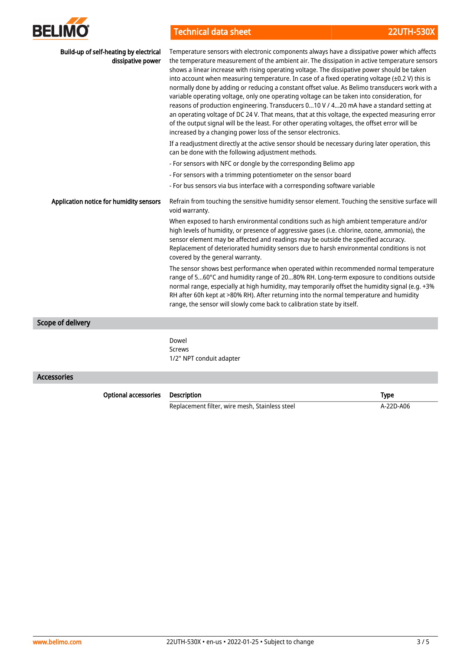

# Technical data sheet 22UTH-530X

| Build-up of self-heating by electrical<br>dissipative power | Temperature sensors with electronic components always have a dissipative power which affects<br>the temperature measurement of the ambient air. The dissipation in active temperature sensors<br>shows a linear increase with rising operating voltage. The dissipative power should be taken<br>into account when measuring temperature. In case of a fixed operating voltage (±0.2 V) this is<br>normally done by adding or reducing a constant offset value. As Belimo transducers work with a<br>variable operating voltage, only one operating voltage can be taken into consideration, for<br>reasons of production engineering. Transducers 010 V / 420 mA have a standard setting at<br>an operating voltage of DC 24 V. That means, that at this voltage, the expected measuring error<br>of the output signal will be the least. For other operating voltages, the offset error will be<br>increased by a changing power loss of the sensor electronics.<br>If a readjustment directly at the active sensor should be necessary during later operation, this<br>can be done with the following adjustment methods.<br>- For sensors with NFC or dongle by the corresponding Belimo app<br>- For sensors with a trimming potentiometer on the sensor board<br>- For bus sensors via bus interface with a corresponding software variable |
|-------------------------------------------------------------|---------------------------------------------------------------------------------------------------------------------------------------------------------------------------------------------------------------------------------------------------------------------------------------------------------------------------------------------------------------------------------------------------------------------------------------------------------------------------------------------------------------------------------------------------------------------------------------------------------------------------------------------------------------------------------------------------------------------------------------------------------------------------------------------------------------------------------------------------------------------------------------------------------------------------------------------------------------------------------------------------------------------------------------------------------------------------------------------------------------------------------------------------------------------------------------------------------------------------------------------------------------------------------------------------------------------------------------------------|
| Application notice for humidity sensors                     | Refrain from touching the sensitive humidity sensor element. Touching the sensitive surface will<br>void warranty.                                                                                                                                                                                                                                                                                                                                                                                                                                                                                                                                                                                                                                                                                                                                                                                                                                                                                                                                                                                                                                                                                                                                                                                                                                |
|                                                             | When exposed to harsh environmental conditions such as high ambient temperature and/or<br>high levels of humidity, or presence of aggressive gases (i.e. chlorine, ozone, ammonia), the<br>sensor element may be affected and readings may be outside the specified accuracy.<br>Replacement of deteriorated humidity sensors due to harsh environmental conditions is not<br>covered by the general warranty.                                                                                                                                                                                                                                                                                                                                                                                                                                                                                                                                                                                                                                                                                                                                                                                                                                                                                                                                    |
|                                                             | The sensor shows best performance when operated within recommended normal temperature<br>range of 560°C and humidity range of 2080% RH. Long-term exposure to conditions outside<br>normal range, especially at high humidity, may temporarily offset the humidity signal (e.g. +3%<br>RH after 60h kept at >80% RH). After returning into the normal temperature and humidity<br>range, the sensor will slowly come back to calibration state by itself.                                                                                                                                                                                                                                                                                                                                                                                                                                                                                                                                                                                                                                                                                                                                                                                                                                                                                         |
| <b>Scope of delivery</b>                                    |                                                                                                                                                                                                                                                                                                                                                                                                                                                                                                                                                                                                                                                                                                                                                                                                                                                                                                                                                                                                                                                                                                                                                                                                                                                                                                                                                   |
|                                                             | Dowel<br><b>Screws</b><br>1/2" NPT conduit adapter                                                                                                                                                                                                                                                                                                                                                                                                                                                                                                                                                                                                                                                                                                                                                                                                                                                                                                                                                                                                                                                                                                                                                                                                                                                                                                |

# Accessories

Optional accessories Description **Description** Controller Controller Controller Controller Controller Controller

Replacement filter, wire mesh, Stainless steel A-22D-A06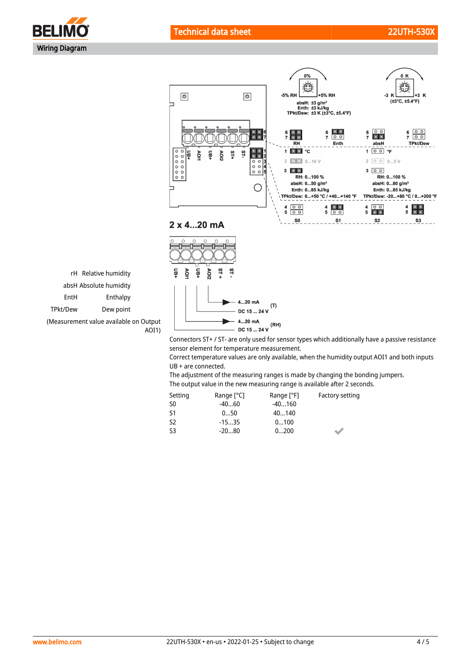



rH Relative humidity absH Absolute humidity EntH Enthalpy TPkt/Dew Dew point

(Measurement value available on Output AOI1)

> Connectors ST+ / ST- are only used for sensor types which additionally have a passive resistance sensor element for temperature measurement.

> Correct temperature values are only available, when the humidity output AOI1 and both inputs UB + are connected.

The adjustment of the measuring ranges is made by changing the bonding jumpers.

| The output value in the new measuring range is available after 2 seconds. |                      |  |                |  |
|---------------------------------------------------------------------------|----------------------|--|----------------|--|
| $\sim$ $\sim$                                                             | $\sim$ $\sim$ $\sim$ |  | $\blacksquare$ |  |

 $(T)$ 

 $(RH)$ 

| Setting        | Range $[^{\circ}C]$ | Range [°F] | Factory setting |
|----------------|---------------------|------------|-----------------|
| S <sub>0</sub> | -4060               | $-40160$   |                 |
| S1             | 050                 | 40140      |                 |
| S <sub>2</sub> | $-1535$             | 0100       |                 |
| S3             | -2080               | 0200       |                 |

4...20 mA

DC 15 ... 24 V 4...20 mA

DC 15 ... 24 V